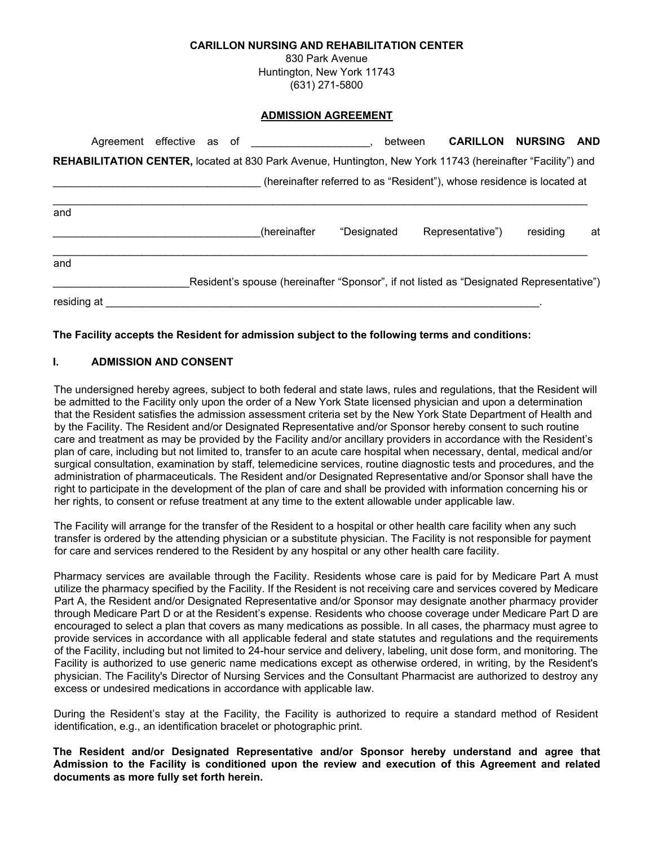#### **CARILLON NURSING AND REHABILITATION CENTER**

830 Park Avenue Huntington, New York 11743 (631) 271-5800

#### **ADMISSION AGREEMENT**

|             |  |  | Agreement effective as of                                                                                         |             | between | <b>CARILLON NURSING</b>                                                |          | AND |
|-------------|--|--|-------------------------------------------------------------------------------------------------------------------|-------------|---------|------------------------------------------------------------------------|----------|-----|
|             |  |  | <b>REHABILITATION CENTER, located at 830 Park Avenue, Huntington, New York 11743 (hereinafter "Facility") and</b> |             |         |                                                                        |          |     |
|             |  |  |                                                                                                                   |             |         | (hereinafter referred to as "Resident"), whose residence is located at |          |     |
| and         |  |  | (hereinafter                                                                                                      | "Designated |         | Representative")                                                       | residina | at  |
| and         |  |  |                                                                                                                   |             |         |                                                                        |          |     |
|             |  |  | Resident's spouse (hereinafter "Sponsor", if not listed as "Designated Representative")                           |             |         |                                                                        |          |     |
| residing at |  |  |                                                                                                                   |             |         |                                                                        |          |     |

#### **The Facility accepts the Resident for admission subject to the following terms and conditions:**

### **I. ADMISSION AND CONSENT**

The undersigned hereby agrees, subject to both federal and state laws, rules and regulations, that the Resident will be admitted to the Facility only upon the order of a New York State licensed physician and upon a determination that the Resident satisfies the admission assessment criteria set by the New York State Department of Health and by the Facility. The Resident and/or Designated Representative and/or Sponsor hereby consent to such routine care and treatment as may be provided by the Facility and/or ancillary providers in accordance with the Resident's plan of care, including but not limited to, transfer to an acute care hospital when necessary, dental, medical and/or surgical consultation, examination by staff, telemedicine services, routine diagnostic tests and procedures, and the administration of pharmaceuticals. The Resident and/or Designated Representative and/or Sponsor shall have the right to participate in the development of the plan of care and shall be provided with information concerning his or her rights, to consent or refuse treatment at any time to the extent allowable under applicable law.

The Facility will arrange for the transfer of the Resident to a hospital or other health care facility when any such transfer is ordered by the attending physician or a substitute physician. The Facility is not responsible for payment for care and services rendered to the Resident by any hospital or any other health care facility.

Pharmacy services are available through the Facility. Residents whose care is paid for by Medicare Part A must utilize the pharmacy specified by the Facility. If the Resident is not receiving care and services covered by Medicare Part A, the Resident and/or Designated Representative and/or Sponsor may designate another pharmacy provider through Medicare Part D or at the Resident's expense. Residents who choose coverage under Medicare Part D are encouraged to select a plan that covers as many medications as possible. In all cases, the pharmacy must agree to provide services in accordance with all applicable federal and state statutes and regulations and the requirements of the Facility, including but not limited to 24-hour service and delivery, labeling, unit dose form, and monitoring. The Facility is authorized to use generic name medications except as otherwise ordered, in writing, by the Resident's physician. The Facility's Director of Nursing Services and the Consultant Pharmacist are authorized to destroy any excess or undesired medications in accordance with applicable law.

During the Resident's stay at the Facility, the Facility is authorized to require a standard method of Resident identification, e.g., an identification bracelet or photographic print.

**The Resident and/or Designated Representative and/or Sponsor hereby understand and agree that Admission to the Facility is conditioned upon the review and execution of this Agreement and related documents as more fully set forth herein.**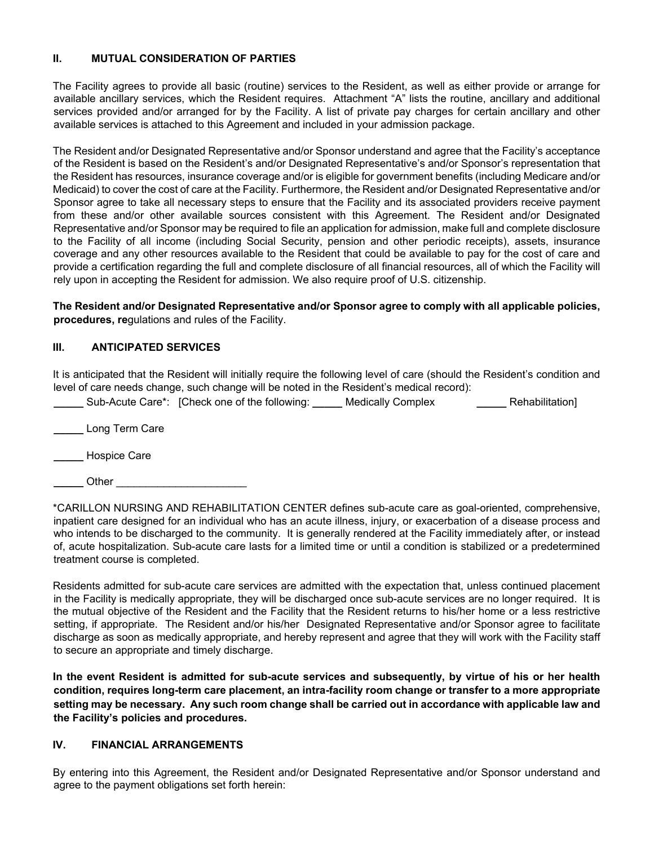### **II. MUTUAL CONSIDERATION OF PARTIES**

The Facility agrees to provide all basic (routine) services to the Resident, as well as either provide or arrange for available ancillary services, which the Resident requires. Attachment "A" lists the routine, ancillary and additional services provided and/or arranged for by the Facility. A list of private pay charges for certain ancillary and other available services is attached to this Agreement and included in your admission package.

The Resident and/or Designated Representative and/or Sponsor understand and agree that the Facility's acceptance of the Resident is based on the Resident's and/or Designated Representative's and/or Sponsor's representation that the Resident has resources, insurance coverage and/or is eligible for government benefits (including Medicare and/or Medicaid) to cover the cost of care at the Facility. Furthermore, the Resident and/or Designated Representative and/or Sponsor agree to take all necessary steps to ensure that the Facility and its associated providers receive payment from these and/or other available sources consistent with this Agreement. The Resident and/or Designated Representative and/or Sponsor may be required to file an application for admission, make full and complete disclosure to the Facility of all income (including Social Security, pension and other periodic receipts), assets, insurance coverage and any other resources available to the Resident that could be available to pay for the cost of care and provide a certification regarding the full and complete disclosure of all financial resources, all of which the Facility will rely upon in accepting the Resident for admission. We also require proof of U.S. citizenship.

**The Resident and/or Designated Representative and/or Sponsor agree to comply with all applicable policies, procedures, re**gulations and rules of the Facility.

# **III. ANTICIPATED SERVICES**

It is anticipated that the Resident will initially require the following level of care (should the Resident's condition and level of care needs change, such change will be noted in the Resident's medical record):

**\_\_\_\_\_** Sub-Acute Care\*: [Check one of the following: **\_\_\_\_\_** Medically Complex **\_\_\_\_\_** Rehabilitation]

**\_\_\_\_\_** Long Term Care

**\_\_\_\_\_** Hospice Care

**\_\_\_\_\_** Other \_\_\_\_\_\_\_\_\_\_\_\_\_\_\_\_\_\_\_\_\_\_

\*CARILLON NURSING AND REHABILITATION CENTER defines sub-acute care as goal-oriented, comprehensive, inpatient care designed for an individual who has an acute illness, injury, or exacerbation of a disease process and who intends to be discharged to the community. It is generally rendered at the Facility immediately after, or instead of, acute hospitalization. Sub-acute care lasts for a limited time or until a condition is stabilized or a predetermined treatment course is completed.

Residents admitted for sub-acute care services are admitted with the expectation that, unless continued placement in the Facility is medically appropriate, they will be discharged once sub-acute services are no longer required. It is the mutual objective of the Resident and the Facility that the Resident returns to his/her home or a less restrictive setting, if appropriate. The Resident and/or his/her Designated Representative and/or Sponsor agree to facilitate discharge as soon as medically appropriate, and hereby represent and agree that they will work with the Facility staff to secure an appropriate and timely discharge.

**In the event Resident is admitted for sub-acute services and subsequently, by virtue of his or her health condition, requires long-term care placement, an intra-facility room change or transfer to a more appropriate setting may be necessary. Any such room change shall be carried out in accordance with applicable law and the Facility's policies and procedures.**

# **IV. FINANCIAL ARRANGEMENTS**

By entering into this Agreement, the Resident and/or Designated Representative and/or Sponsor understand and agree to the payment obligations set forth herein: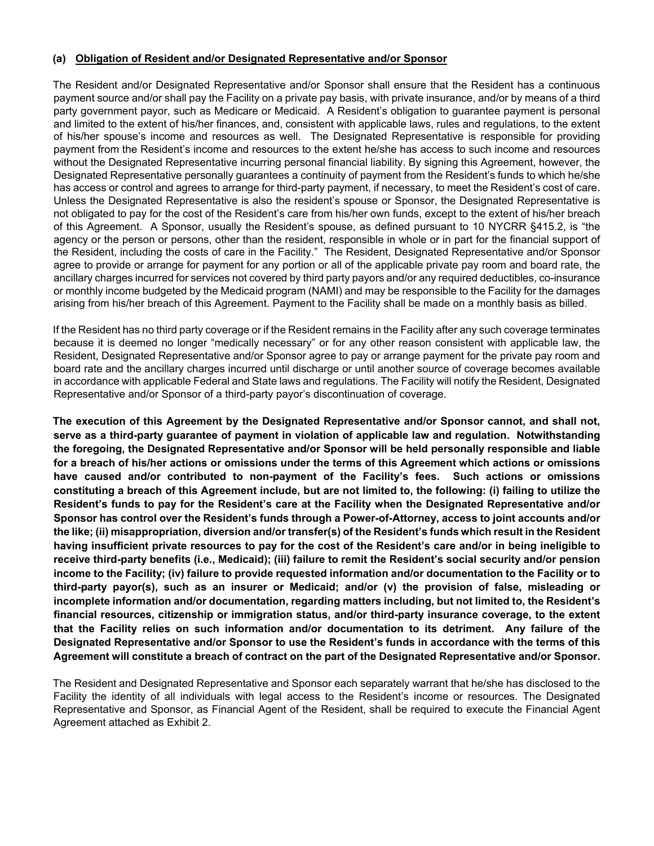#### **(a) Obligation of Resident and/or Designated Representative and/or Sponsor**

The Resident and/or Designated Representative and/or Sponsor shall ensure that the Resident has a continuous payment source and/or shall pay the Facility on a private pay basis, with private insurance, and/or by means of a third party government payor, such as Medicare or Medicaid. A Resident's obligation to guarantee payment is personal and limited to the extent of his/her finances, and, consistent with applicable laws, rules and regulations, to the extent of his/her spouse's income and resources as well. The Designated Representative is responsible for providing payment from the Resident's income and resources to the extent he/she has access to such income and resources without the Designated Representative incurring personal financial liability. By signing this Agreement, however, the Designated Representative personally guarantees a continuity of payment from the Resident's funds to which he/she has access or control and agrees to arrange for third-party payment, if necessary, to meet the Resident's cost of care. Unless the Designated Representative is also the resident's spouse or Sponsor, the Designated Representative is not obligated to pay for the cost of the Resident's care from his/her own funds, except to the extent of his/her breach of this Agreement. A Sponsor, usually the Resident's spouse, as defined pursuant to 10 NYCRR §415.2, is "the agency or the person or persons, other than the resident, responsible in whole or in part for the financial support of the Resident, including the costs of care in the Facility." The Resident, Designated Representative and/or Sponsor agree to provide or arrange for payment for any portion or all of the applicable private pay room and board rate, the ancillary charges incurred for services not covered by third party payors and/or any required deductibles, co-insurance or monthly income budgeted by the Medicaid program (NAMI) and may be responsible to the Facility for the damages arising from his/her breach of this Agreement. Payment to the Facility shall be made on a monthly basis as billed.

If the Resident has no third party coverage or if the Resident remains in the Facility after any such coverage terminates because it is deemed no longer "medically necessary" or for any other reason consistent with applicable law, the Resident, Designated Representative and/or Sponsor agree to pay or arrange payment for the private pay room and board rate and the ancillary charges incurred until discharge or until another source of coverage becomes available in accordance with applicable Federal and State laws and regulations. The Facility will notify the Resident, Designated Representative and/or Sponsor of a third-party payor's discontinuation of coverage.

**The execution of this Agreement by the Designated Representative and/or Sponsor cannot, and shall not, serve as a third-party guarantee of payment in violation of applicable law and regulation. Notwithstanding the foregoing, the Designated Representative and/or Sponsor will be held personally responsible and liable for a breach of his/her actions or omissions under the terms of this Agreement which actions or omissions have caused and/or contributed to non-payment of the Facility's fees. Such actions or omissions constituting a breach of this Agreement include, but are not limited to, the following: (i) failing to utilize the Resident's funds to pay for the Resident's care at the Facility when the Designated Representative and/or Sponsor has control over the Resident's funds through a Power-of-Attorney, access to joint accounts and/or the like; (ii) misappropriation, diversion and/or transfer(s) of the Resident's funds which result in the Resident having insufficient private resources to pay for the cost of the Resident's care and/or in being ineligible to receive third-party benefits (i.e., Medicaid); (iii) failure to remit the Resident's social security and/or pension income to the Facility; (iv) failure to provide requested information and/or documentation to the Facility or to third-party payor(s), such as an insurer or Medicaid; and/or (v) the provision of false, misleading or incomplete information and/or documentation, regarding matters including, but not limited to, the Resident's financial resources, citizenship or immigration status, and/or third-party insurance coverage, to the extent that the Facility relies on such information and/or documentation to its detriment. Any failure of the Designated Representative and/or Sponsor to use the Resident's funds in accordance with the terms of this Agreement will constitute a breach of contract on the part of the Designated Representative and/or Sponsor.** 

The Resident and Designated Representative and Sponsor each separately warrant that he/she has disclosed to the Facility the identity of all individuals with legal access to the Resident's income or resources. The Designated Representative and Sponsor, as Financial Agent of the Resident, shall be required to execute the Financial Agent Agreement attached as Exhibit 2.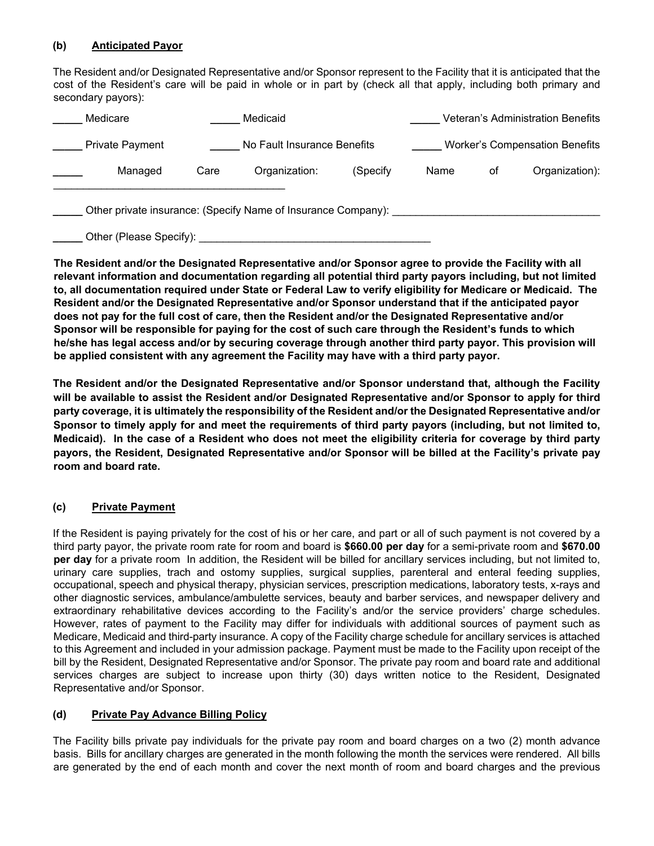### **(b) Anticipated Payor**

The Resident and/or Designated Representative and/or Sponsor represent to the Facility that it is anticipated that the cost of the Resident's care will be paid in whole or in part by (check all that apply, including both primary and secondary payors):

| Medicare                                                                                 |      | Medicaid                    |          |      |    | <b>Veteran's Administration Benefits</b> |
|------------------------------------------------------------------------------------------|------|-----------------------------|----------|------|----|------------------------------------------|
| <b>Private Payment</b>                                                                   |      | No Fault Insurance Benefits |          |      |    | <b>Worker's Compensation Benefits</b>    |
| Managed                                                                                  | Care | Organization:               | (Specify | Name | оf | Organization):                           |
| Other private insurance: (Specify Name of Insurance Company):<br>Other (Please Specify): |      |                             |          |      |    |                                          |

**The Resident and/or the Designated Representative and/or Sponsor agree to provide the Facility with all relevant information and documentation regarding all potential third party payors including, but not limited to, all documentation required under State or Federal Law to verify eligibility for Medicare or Medicaid. The Resident and/or the Designated Representative and/or Sponsor understand that if the anticipated payor does not pay for the full cost of care, then the Resident and/or the Designated Representative and/or Sponsor will be responsible for paying for the cost of such care through the Resident's funds to which he/she has legal access and/or by securing coverage through another third party payor. This provision will be applied consistent with any agreement the Facility may have with a third party payor.** 

**The Resident and/or the Designated Representative and/or Sponsor understand that, although the Facility will be available to assist the Resident and/or Designated Representative and/or Sponsor to apply for third party coverage, it is ultimately the responsibility of the Resident and/or the Designated Representative and/or Sponsor to timely apply for and meet the requirements of third party payors (including, but not limited to, Medicaid). In the case of a Resident who does not meet the eligibility criteria for coverage by third party payors, the Resident, Designated Representative and/or Sponsor will be billed at the Facility's private pay room and board rate.** 

### **(c) Private Payment**

If the Resident is paying privately for the cost of his or her care, and part or all of such payment is not covered by a third party payor, the private room rate for room and board is **\$660.00 per day** for a semi-private room and **\$670.00 per day** for a private room In addition, the Resident will be billed for ancillary services including, but not limited to, urinary care supplies, trach and ostomy supplies, surgical supplies, parenteral and enteral feeding supplies, occupational, speech and physical therapy, physician services, prescription medications, laboratory tests, x-rays and other diagnostic services, ambulance/ambulette services, beauty and barber services, and newspaper delivery and extraordinary rehabilitative devices according to the Facility's and/or the service providers' charge schedules. However, rates of payment to the Facility may differ for individuals with additional sources of payment such as Medicare, Medicaid and third-party insurance. A copy of the Facility charge schedule for ancillary services is attached to this Agreement and included in your admission package. Payment must be made to the Facility upon receipt of the bill by the Resident, Designated Representative and/or Sponsor. The private pay room and board rate and additional services charges are subject to increase upon thirty (30) days written notice to the Resident, Designated Representative and/or Sponsor.

### **(d) Private Pay Advance Billing Policy**

The Facility bills private pay individuals for the private pay room and board charges on a two (2) month advance basis. Bills for ancillary charges are generated in the month following the month the services were rendered. All bills are generated by the end of each month and cover the next month of room and board charges and the previous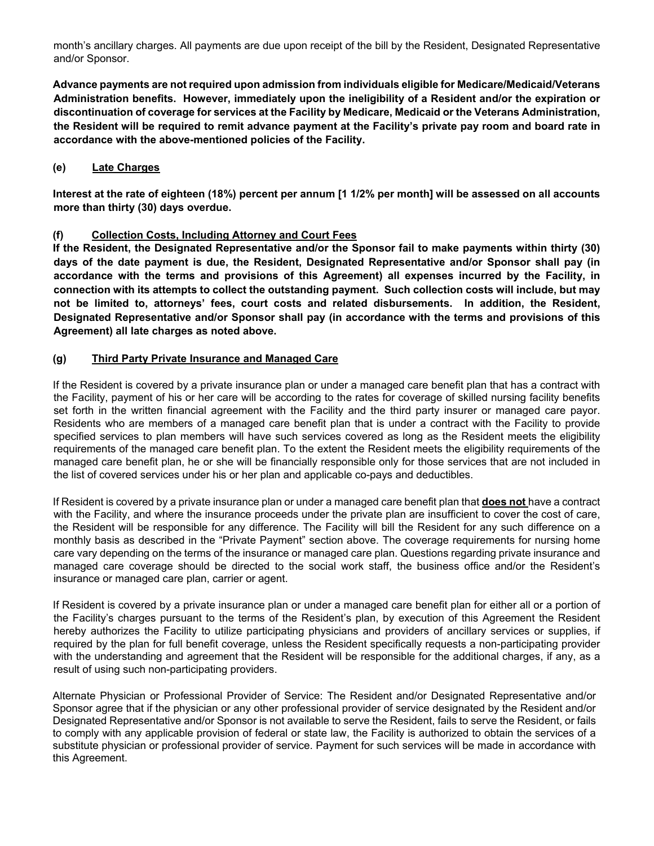month's ancillary charges. All payments are due upon receipt of the bill by the Resident, Designated Representative and/or Sponsor.

**Advance payments are not required upon admission from individuals eligible for Medicare/Medicaid/Veterans Administration benefits. However, immediately upon the ineligibility of a Resident and/or the expiration or discontinuation of coverage for services at the Facility by Medicare, Medicaid or the Veterans Administration, the Resident will be required to remit advance payment at the Facility's private pay room and board rate in accordance with the above-mentioned policies of the Facility.**

# **(e) Late Charges**

**Interest at the rate of eighteen (18%) percent per annum [1 1/2% per month] will be assessed on all accounts more than thirty (30) days overdue.** 

### **(f) Collection Costs, Including Attorney and Court Fees**

**If the Resident, the Designated Representative and/or the Sponsor fail to make payments within thirty (30) days of the date payment is due, the Resident, Designated Representative and/or Sponsor shall pay (in accordance with the terms and provisions of this Agreement) all expenses incurred by the Facility, in connection with its attempts to collect the outstanding payment. Such collection costs will include, but may not be limited to, attorneys' fees, court costs and related disbursements. In addition, the Resident, Designated Representative and/or Sponsor shall pay (in accordance with the terms and provisions of this Agreement) all late charges as noted above.**

### **(g) Third Party Private Insurance and Managed Care**

If the Resident is covered by a private insurance plan or under a managed care benefit plan that has a contract with the Facility, payment of his or her care will be according to the rates for coverage of skilled nursing facility benefits set forth in the written financial agreement with the Facility and the third party insurer or managed care payor. Residents who are members of a managed care benefit plan that is under a contract with the Facility to provide specified services to plan members will have such services covered as long as the Resident meets the eligibility requirements of the managed care benefit plan. To the extent the Resident meets the eligibility requirements of the managed care benefit plan, he or she will be financially responsible only for those services that are not included in the list of covered services under his or her plan and applicable co-pays and deductibles.

If Resident is covered by a private insurance plan or under a managed care benefit plan that **does not** have a contract with the Facility, and where the insurance proceeds under the private plan are insufficient to cover the cost of care, the Resident will be responsible for any difference. The Facility will bill the Resident for any such difference on a monthly basis as described in the "Private Payment" section above. The coverage requirements for nursing home care vary depending on the terms of the insurance or managed care plan. Questions regarding private insurance and managed care coverage should be directed to the social work staff, the business office and/or the Resident's insurance or managed care plan, carrier or agent.

If Resident is covered by a private insurance plan or under a managed care benefit plan for either all or a portion of the Facility's charges pursuant to the terms of the Resident's plan, by execution of this Agreement the Resident hereby authorizes the Facility to utilize participating physicians and providers of ancillary services or supplies, if required by the plan for full benefit coverage, unless the Resident specifically requests a non-participating provider with the understanding and agreement that the Resident will be responsible for the additional charges, if any, as a result of using such non-participating providers.

Alternate Physician or Professional Provider of Service: The Resident and/or Designated Representative and/or Sponsor agree that if the physician or any other professional provider of service designated by the Resident and/or Designated Representative and/or Sponsor is not available to serve the Resident, fails to serve the Resident, or fails to comply with any applicable provision of federal or state law, the Facility is authorized to obtain the services of a substitute physician or professional provider of service. Payment for such services will be made in accordance with this Agreement.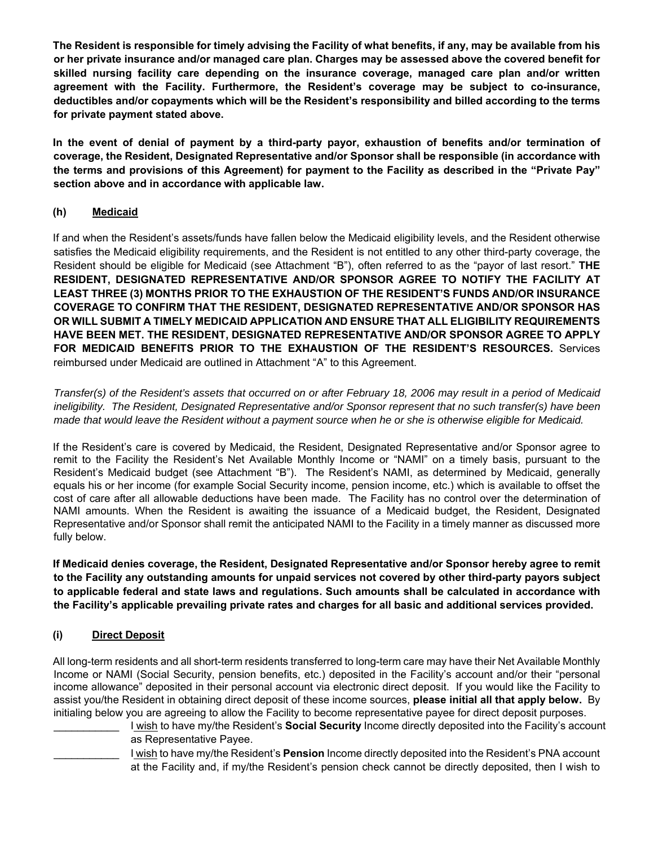**The Resident is responsible for timely advising the Facility of what benefits, if any, may be available from his or her private insurance and/or managed care plan. Charges may be assessed above the covered benefit for skilled nursing facility care depending on the insurance coverage, managed care plan and/or written agreement with the Facility. Furthermore, the Resident's coverage may be subject to co-insurance, deductibles and/or copayments which will be the Resident's responsibility and billed according to the terms for private payment stated above.** 

**In the event of denial of payment by a third-party payor, exhaustion of benefits and/or termination of coverage, the Resident, Designated Representative and/or Sponsor shall be responsible (in accordance with the terms and provisions of this Agreement) for payment to the Facility as described in the "Private Pay" section above and in accordance with applicable law.** 

# **(h) Medicaid**

If and when the Resident's assets/funds have fallen below the Medicaid eligibility levels, and the Resident otherwise satisfies the Medicaid eligibility requirements, and the Resident is not entitled to any other third-party coverage, the Resident should be eligible for Medicaid (see Attachment "B"), often referred to as the "payor of last resort." **THE RESIDENT, DESIGNATED REPRESENTATIVE AND/OR SPONSOR AGREE TO NOTIFY THE FACILITY AT LEAST THREE (3) MONTHS PRIOR TO THE EXHAUSTION OF THE RESIDENT'S FUNDS AND/OR INSURANCE COVERAGE TO CONFIRM THAT THE RESIDENT, DESIGNATED REPRESENTATIVE AND/OR SPONSOR HAS OR WILL SUBMIT A TIMELY MEDICAID APPLICATION AND ENSURE THAT ALL ELIGIBILITY REQUIREMENTS HAVE BEEN MET. THE RESIDENT, DESIGNATED REPRESENTATIVE AND/OR SPONSOR AGREE TO APPLY FOR MEDICAID BENEFITS PRIOR TO THE EXHAUSTION OF THE RESIDENT'S RESOURCES.** Services reimbursed under Medicaid are outlined in Attachment "A" to this Agreement.

*Transfer(s) of the Resident's assets that occurred on or after February 18, 2006 may result in a period of Medicaid ineligibility. The Resident, Designated Representative and/or Sponsor represent that no such transfer(s) have been made that would leave the Resident without a payment source when he or she is otherwise eligible for Medicaid.* 

If the Resident's care is covered by Medicaid, the Resident, Designated Representative and/or Sponsor agree to remit to the Facility the Resident's Net Available Monthly Income or "NAMI" on a timely basis, pursuant to the Resident's Medicaid budget (see Attachment "B"). The Resident's NAMI, as determined by Medicaid, generally equals his or her income (for example Social Security income, pension income, etc.) which is available to offset the cost of care after all allowable deductions have been made. The Facility has no control over the determination of NAMI amounts. When the Resident is awaiting the issuance of a Medicaid budget, the Resident, Designated Representative and/or Sponsor shall remit the anticipated NAMI to the Facility in a timely manner as discussed more fully below.

**If Medicaid denies coverage, the Resident, Designated Representative and/or Sponsor hereby agree to remit to the Facility any outstanding amounts for unpaid services not covered by other third-party payors subject to applicable federal and state laws and regulations. Such amounts shall be calculated in accordance with the Facility's applicable prevailing private rates and charges for all basic and additional services provided.** 

# **(i) Direct Deposit**

All long-term residents and all short-term residents transferred to long-term care may have their Net Available Monthly Income or NAMI (Social Security, pension benefits, etc.) deposited in the Facility's account and/or their "personal income allowance" deposited in their personal account via electronic direct deposit. If you would like the Facility to assist you/the Resident in obtaining direct deposit of these income sources, **please initial all that apply below.** By initialing below you are agreeing to allow the Facility to become representative payee for direct deposit purposes.

\_\_\_\_\_\_\_\_\_\_\_ I wish to have my/the Resident's **Social Security** Income directly deposited into the Facility's account as Representative Payee.

\_\_\_\_\_\_\_\_\_\_\_ I wish to have my/the Resident's **Pension** Income directly deposited into the Resident's PNA account at the Facility and, if my/the Resident's pension check cannot be directly deposited, then I wish to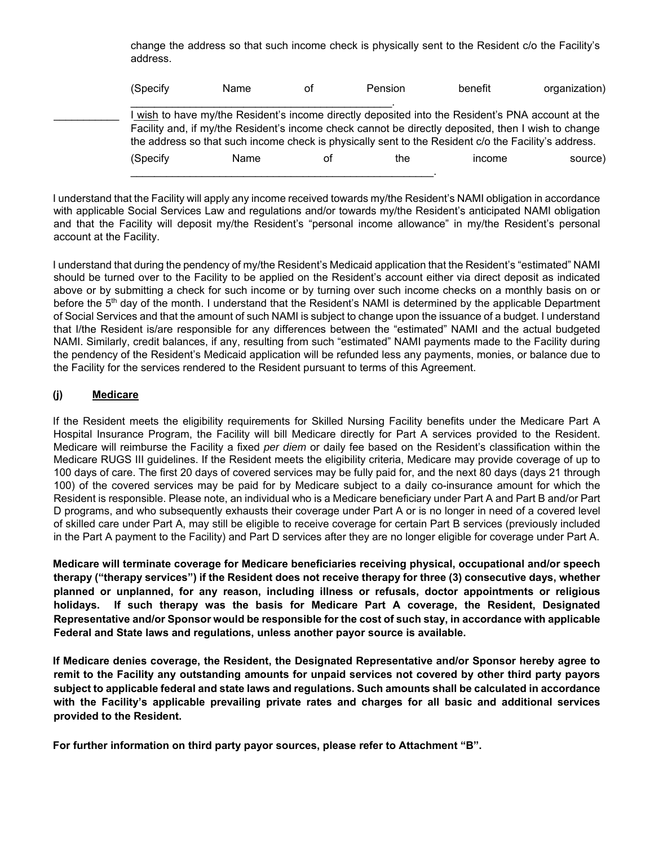change the address so that such income check is physically sent to the Resident c/o the Facility's address.

| (Specify | Name | οf | Pension | benefit                                                                                                                                                                                                                                                                                                        | organization) |
|----------|------|----|---------|----------------------------------------------------------------------------------------------------------------------------------------------------------------------------------------------------------------------------------------------------------------------------------------------------------------|---------------|
|          |      |    |         | wish to have my/the Resident's income directly deposited into the Resident's PNA account at the<br>Facility and, if my/the Resident's income check cannot be directly deposited, then I wish to change<br>the address so that such income check is physically sent to the Resident c/o the Facility's address. |               |
| (Specify | Name | ΩŤ | the     | income                                                                                                                                                                                                                                                                                                         | source)       |
|          |      |    |         |                                                                                                                                                                                                                                                                                                                |               |

I understand that the Facility will apply any income received towards my/the Resident's NAMI obligation in accordance with applicable Social Services Law and regulations and/or towards my/the Resident's anticipated NAMI obligation and that the Facility will deposit my/the Resident's "personal income allowance" in my/the Resident's personal account at the Facility.

I understand that during the pendency of my/the Resident's Medicaid application that the Resident's "estimated" NAMI should be turned over to the Facility to be applied on the Resident's account either via direct deposit as indicated above or by submitting a check for such income or by turning over such income checks on a monthly basis on or before the 5<sup>th</sup> day of the month. I understand that the Resident's NAMI is determined by the applicable Department of Social Services and that the amount of such NAMI is subject to change upon the issuance of a budget. I understand that I/the Resident is/are responsible for any differences between the "estimated" NAMI and the actual budgeted NAMI. Similarly, credit balances, if any, resulting from such "estimated" NAMI payments made to the Facility during the pendency of the Resident's Medicaid application will be refunded less any payments, monies, or balance due to the Facility for the services rendered to the Resident pursuant to terms of this Agreement.

# **(j) Medicare**

If the Resident meets the eligibility requirements for Skilled Nursing Facility benefits under the Medicare Part A Hospital Insurance Program, the Facility will bill Medicare directly for Part A services provided to the Resident. Medicare will reimburse the Facility a fixed *per diem* or daily fee based on the Resident's classification within the Medicare RUGS III guidelines. If the Resident meets the eligibility criteria, Medicare may provide coverage of up to 100 days of care. The first 20 days of covered services may be fully paid for, and the next 80 days (days 21 through 100) of the covered services may be paid for by Medicare subject to a daily co-insurance amount for which the Resident is responsible. Please note, an individual who is a Medicare beneficiary under Part A and Part B and/or Part D programs, and who subsequently exhausts their coverage under Part A or is no longer in need of a covered level of skilled care under Part A, may still be eligible to receive coverage for certain Part B services (previously included in the Part A payment to the Facility) and Part D services after they are no longer eligible for coverage under Part A.

**Medicare will terminate coverage for Medicare beneficiaries receiving physical, occupational and/or speech therapy ("therapy services") if the Resident does not receive therapy for three (3) consecutive days, whether planned or unplanned, for any reason, including illness or refusals, doctor appointments or religious holidays. If such therapy was the basis for Medicare Part A coverage, the Resident, Designated Representative and/or Sponsor would be responsible for the cost of such stay, in accordance with applicable Federal and State laws and regulations, unless another payor source is available.** 

**If Medicare denies coverage, the Resident, the Designated Representative and/or Sponsor hereby agree to remit to the Facility any outstanding amounts for unpaid services not covered by other third party payors subject to applicable federal and state laws and regulations. Such amounts shall be calculated in accordance with the Facility's applicable prevailing private rates and charges for all basic and additional services provided to the Resident.** 

**For further information on third party payor sources, please refer to Attachment "B".**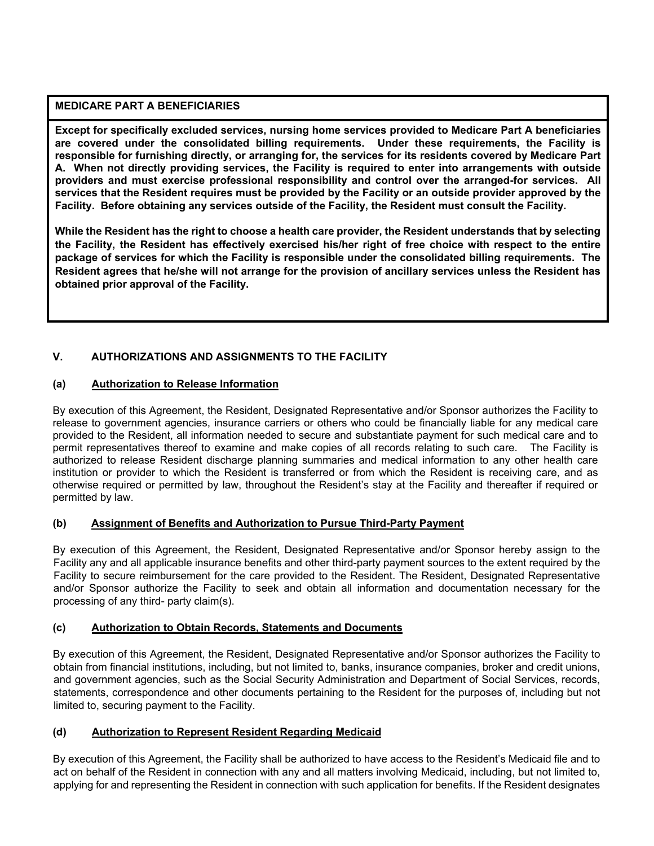# **MEDICARE PART A BENEFICIARIES**

**Except for specifically excluded services, nursing home services provided to Medicare Part A beneficiaries are covered under the consolidated billing requirements. Under these requirements, the Facility is responsible for furnishing directly, or arranging for, the services for its residents covered by Medicare Part A. When not directly providing services, the Facility is required to enter into arrangements with outside providers and must exercise professional responsibility and control over the arranged-for services. All services that the Resident requires must be provided by the Facility or an outside provider approved by the Facility. Before obtaining any services outside of the Facility, the Resident must consult the Facility.** 

**While the Resident has the right to choose a health care provider, the Resident understands that by selecting the Facility, the Resident has effectively exercised his/her right of free choice with respect to the entire package of services for which the Facility is responsible under the consolidated billing requirements. The Resident agrees that he/she will not arrange for the provision of ancillary services unless the Resident has obtained prior approval of the Facility.** 

# **V. AUTHORIZATIONS AND ASSIGNMENTS TO THE FACILITY**

# **(a) Authorization to Release Information**

By execution of this Agreement, the Resident, Designated Representative and/or Sponsor authorizes the Facility to release to government agencies, insurance carriers or others who could be financially liable for any medical care provided to the Resident, all information needed to secure and substantiate payment for such medical care and to permit representatives thereof to examine and make copies of all records relating to such care. The Facility is authorized to release Resident discharge planning summaries and medical information to any other health care institution or provider to which the Resident is transferred or from which the Resident is receiving care, and as otherwise required or permitted by law, throughout the Resident's stay at the Facility and thereafter if required or permitted by law.

### **(b) Assignment of Benefits and Authorization to Pursue Third-Party Payment**

By execution of this Agreement, the Resident, Designated Representative and/or Sponsor hereby assign to the Facility any and all applicable insurance benefits and other third-party payment sources to the extent required by the Facility to secure reimbursement for the care provided to the Resident. The Resident, Designated Representative and/or Sponsor authorize the Facility to seek and obtain all information and documentation necessary for the processing of any third- party claim(s).

### **(c) Authorization to Obtain Records, Statements and Documents**

By execution of this Agreement, the Resident, Designated Representative and/or Sponsor authorizes the Facility to obtain from financial institutions, including, but not limited to, banks, insurance companies, broker and credit unions, and government agencies, such as the Social Security Administration and Department of Social Services, records, statements, correspondence and other documents pertaining to the Resident for the purposes of, including but not limited to, securing payment to the Facility.

### **(d) Authorization to Represent Resident Regarding Medicaid**

By execution of this Agreement, the Facility shall be authorized to have access to the Resident's Medicaid file and to act on behalf of the Resident in connection with any and all matters involving Medicaid, including, but not limited to, applying for and representing the Resident in connection with such application for benefits. If the Resident designates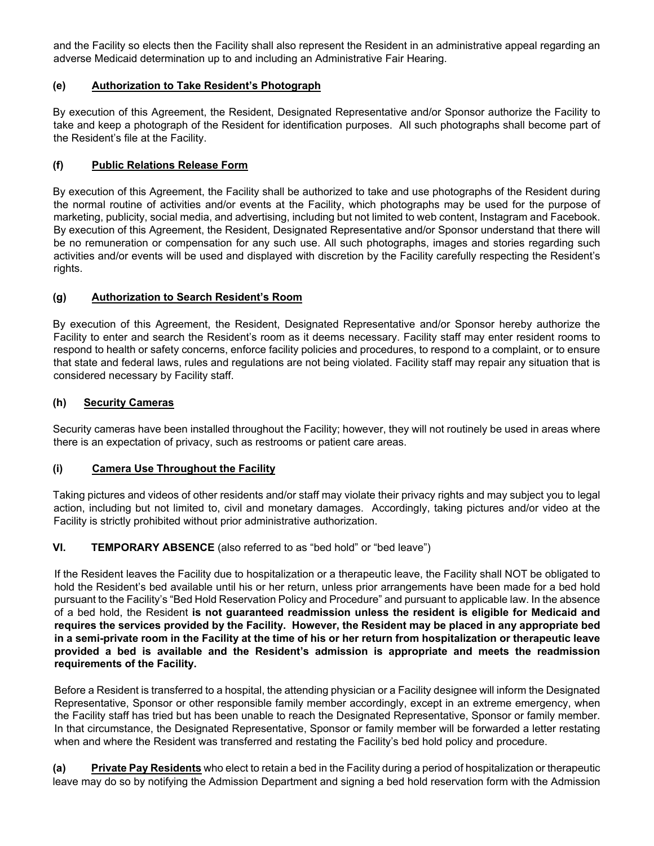and the Facility so elects then the Facility shall also represent the Resident in an administrative appeal regarding an adverse Medicaid determination up to and including an Administrative Fair Hearing.

# **(e) Authorization to Take Resident's Photograph**

By execution of this Agreement, the Resident, Designated Representative and/or Sponsor authorize the Facility to take and keep a photograph of the Resident for identification purposes. All such photographs shall become part of the Resident's file at the Facility.

### **(f) Public Relations Release Form**

By execution of this Agreement, the Facility shall be authorized to take and use photographs of the Resident during the normal routine of activities and/or events at the Facility, which photographs may be used for the purpose of marketing, publicity, social media, and advertising, including but not limited to web content, Instagram and Facebook. By execution of this Agreement, the Resident, Designated Representative and/or Sponsor understand that there will be no remuneration or compensation for any such use. All such photographs, images and stories regarding such activities and/or events will be used and displayed with discretion by the Facility carefully respecting the Resident's rights.

# **(g) Authorization to Search Resident's Room**

By execution of this Agreement, the Resident, Designated Representative and/or Sponsor hereby authorize the Facility to enter and search the Resident's room as it deems necessary. Facility staff may enter resident rooms to respond to health or safety concerns, enforce facility policies and procedures, to respond to a complaint, or to ensure that state and federal laws, rules and regulations are not being violated. Facility staff may repair any situation that is considered necessary by Facility staff.

# **(h) Security Cameras**

Security cameras have been installed throughout the Facility; however, they will not routinely be used in areas where there is an expectation of privacy, such as restrooms or patient care areas.

### **(i) Camera Use Throughout the Facility**

Taking pictures and videos of other residents and/or staff may violate their privacy rights and may subject you to legal action, including but not limited to, civil and monetary damages. Accordingly, taking pictures and/or video at the Facility is strictly prohibited without prior administrative authorization.

### **VI. TEMPORARY ABSENCE** (also referred to as "bed hold" or "bed leave")

If the Resident leaves the Facility due to hospitalization or a therapeutic leave, the Facility shall NOT be obligated to hold the Resident's bed available until his or her return, unless prior arrangements have been made for a bed hold pursuant to the Facility's "Bed Hold Reservation Policy and Procedure" and pursuant to applicable law. In the absence of a bed hold, the Resident **is not guaranteed readmission unless the resident is eligible for Medicaid and requires the services provided by the Facility. However, the Resident may be placed in any appropriate bed in a semi-private room in the Facility at the time of his or her return from hospitalization or therapeutic leave provided a bed is available and the Resident's admission is appropriate and meets the readmission requirements of the Facility.** 

Before a Resident is transferred to a hospital, the attending physician or a Facility designee will inform the Designated Representative, Sponsor or other responsible family member accordingly, except in an extreme emergency, when the Facility staff has tried but has been unable to reach the Designated Representative, Sponsor or family member. In that circumstance, the Designated Representative, Sponsor or family member will be forwarded a letter restating when and where the Resident was transferred and restating the Facility's bed hold policy and procedure.

**(a) Private Pay Residents** who elect to retain a bed in the Facility during a period of hospitalization or therapeutic leave may do so by notifying the Admission Department and signing a bed hold reservation form with the Admission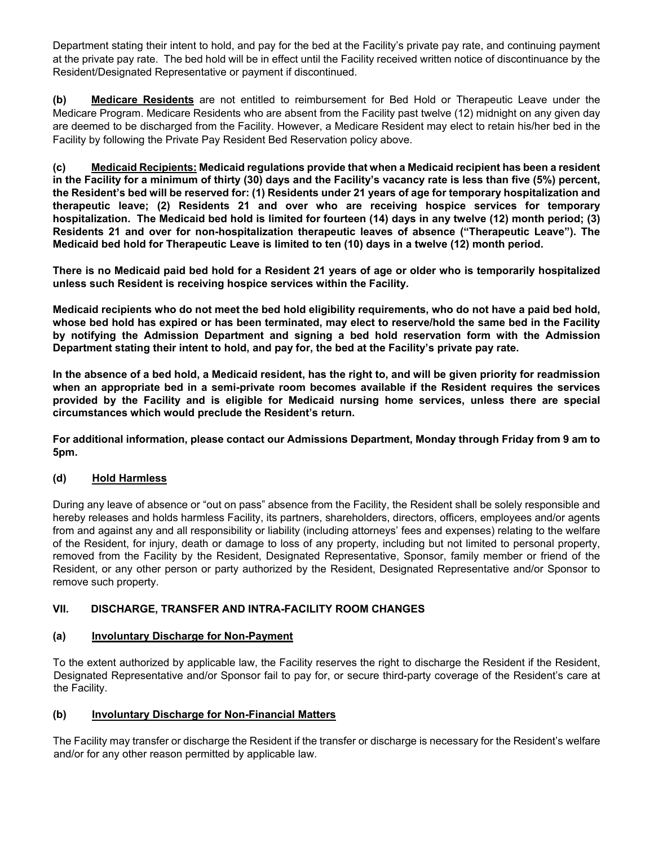Department stating their intent to hold, and pay for the bed at the Facility's private pay rate, and continuing payment at the private pay rate. The bed hold will be in effect until the Facility received written notice of discontinuance by the Resident/Designated Representative or payment if discontinued.

**(b) Medicare Residents** are not entitled to reimbursement for Bed Hold or Therapeutic Leave under the Medicare Program. Medicare Residents who are absent from the Facility past twelve (12) midnight on any given day are deemed to be discharged from the Facility. However, a Medicare Resident may elect to retain his/her bed in the Facility by following the Private Pay Resident Bed Reservation policy above.

**(c) Medicaid Recipients: Medicaid regulations provide that when a Medicaid recipient has been a resident in the Facility for a minimum of thirty (30) days and the Facility's vacancy rate is less than five (5%) percent, the Resident's bed will be reserved for: (1) Residents under 21 years of age for temporary hospitalization and therapeutic leave; (2) Residents 21 and over who are receiving hospice services for temporary hospitalization. The Medicaid bed hold is limited for fourteen (14) days in any twelve (12) month period; (3) Residents 21 and over for non-hospitalization therapeutic leaves of absence ("Therapeutic Leave"). The Medicaid bed hold for Therapeutic Leave is limited to ten (10) days in a twelve (12) month period.** 

**There is no Medicaid paid bed hold for a Resident 21 years of age or older who is temporarily hospitalized unless such Resident is receiving hospice services within the Facility.** 

**Medicaid recipients who do not meet the bed hold eligibility requirements, who do not have a paid bed hold, whose bed hold has expired or has been terminated, may elect to reserve/hold the same bed in the Facility by notifying the Admission Department and signing a bed hold reservation form with the Admission Department stating their intent to hold, and pay for, the bed at the Facility's private pay rate.** 

**In the absence of a bed hold, a Medicaid resident, has the right to, and will be given priority for readmission when an appropriate bed in a semi-private room becomes available if the Resident requires the services provided by the Facility and is eligible for Medicaid nursing home services, unless there are special circumstances which would preclude the Resident's return.** 

**For additional information, please contact our Admissions Department, Monday through Friday from 9 am to 5pm.** 

# **(d) Hold Harmless**

During any leave of absence or "out on pass" absence from the Facility, the Resident shall be solely responsible and hereby releases and holds harmless Facility, its partners, shareholders, directors, officers, employees and/or agents from and against any and all responsibility or liability (including attorneys' fees and expenses) relating to the welfare of the Resident, for injury, death or damage to loss of any property, including but not limited to personal property, removed from the Facility by the Resident, Designated Representative, Sponsor, family member or friend of the Resident, or any other person or party authorized by the Resident, Designated Representative and/or Sponsor to remove such property.

# **VII. DISCHARGE, TRANSFER AND INTRA-FACILITY ROOM CHANGES**

### **(a) Involuntary Discharge for Non-Payment**

To the extent authorized by applicable law, the Facility reserves the right to discharge the Resident if the Resident, Designated Representative and/or Sponsor fail to pay for, or secure third-party coverage of the Resident's care at the Facility.

### **(b) Involuntary Discharge for Non-Financial Matters**

The Facility may transfer or discharge the Resident if the transfer or discharge is necessary for the Resident's welfare and/or for any other reason permitted by applicable law.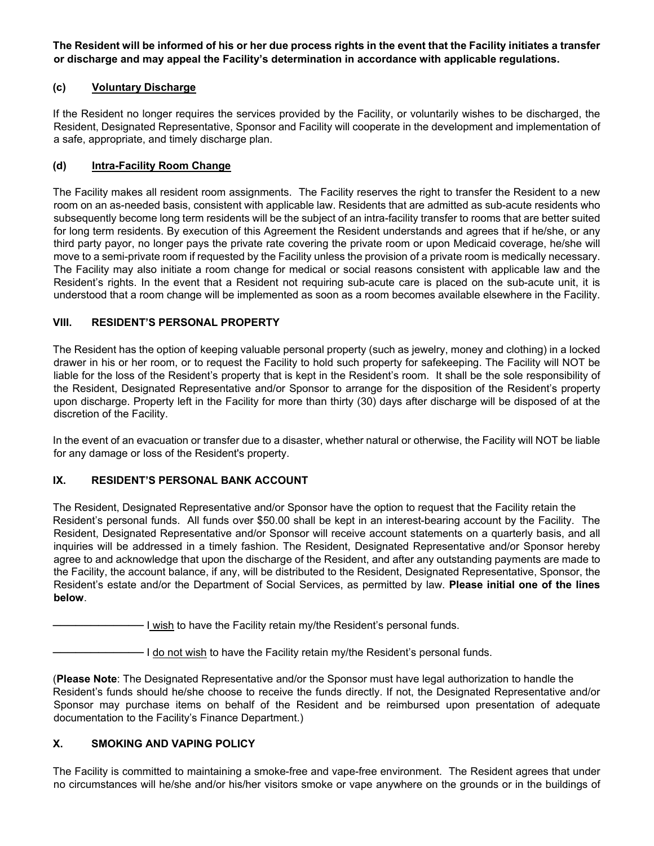**The Resident will be informed of his or her due process rights in the event that the Facility initiates a transfer or discharge and may appeal the Facility's determination in accordance with applicable regulations.**

# **(c) Voluntary Discharge**

If the Resident no longer requires the services provided by the Facility, or voluntarily wishes to be discharged, the Resident, Designated Representative, Sponsor and Facility will cooperate in the development and implementation of a safe, appropriate, and timely discharge plan.

### **(d) Intra-Facility Room Change**

The Facility makes all resident room assignments. The Facility reserves the right to transfer the Resident to a new room on an as-needed basis, consistent with applicable law. Residents that are admitted as sub-acute residents who subsequently become long term residents will be the subject of an intra-facility transfer to rooms that are better suited for long term residents. By execution of this Agreement the Resident understands and agrees that if he/she, or any third party payor, no longer pays the private rate covering the private room or upon Medicaid coverage, he/she will move to a semi-private room if requested by the Facility unless the provision of a private room is medically necessary. The Facility may also initiate a room change for medical or social reasons consistent with applicable law and the Resident's rights. In the event that a Resident not requiring sub-acute care is placed on the sub-acute unit, it is understood that a room change will be implemented as soon as a room becomes available elsewhere in the Facility.

#### **VIII. RESIDENT'S PERSONAL PROPERTY**

The Resident has the option of keeping valuable personal property (such as jewelry, money and clothing) in a locked drawer in his or her room, or to request the Facility to hold such property for safekeeping. The Facility will NOT be liable for the loss of the Resident's property that is kept in the Resident's room. It shall be the sole responsibility of the Resident, Designated Representative and/or Sponsor to arrange for the disposition of the Resident's property upon discharge. Property left in the Facility for more than thirty (30) days after discharge will be disposed of at the discretion of the Facility.

In the event of an evacuation or transfer due to a disaster, whether natural or otherwise, the Facility will NOT be liable for any damage or loss of the Resident's property.

### **IX. RESIDENT'S PERSONAL BANK ACCOUNT**

The Resident, Designated Representative and/or Sponsor have the option to request that the Facility retain the Resident's personal funds. All funds over \$50.00 shall be kept in an interest-bearing account by the Facility. The Resident, Designated Representative and/or Sponsor will receive account statements on a quarterly basis, and all inquiries will be addressed in a timely fashion. The Resident, Designated Representative and/or Sponsor hereby agree to and acknowledge that upon the discharge of the Resident, and after any outstanding payments are made to the Facility, the account balance, if any, will be distributed to the Resident, Designated Representative, Sponsor, the Resident's estate and/or the Department of Social Services, as permitted by law. **Please initial one of the lines below**.

 $-$  I wish to have the Facility retain my/the Resident's personal funds.

- I do not wish to have the Facility retain my/the Resident's personal funds.

(**Please Note**: The Designated Representative and/or the Sponsor must have legal authorization to handle the Resident's funds should he/she choose to receive the funds directly. If not, the Designated Representative and/or Sponsor may purchase items on behalf of the Resident and be reimbursed upon presentation of adequate documentation to the Facility's Finance Department.)

### **X. SMOKING AND VAPING POLICY**

The Facility is committed to maintaining a smoke-free and vape-free environment. The Resident agrees that under no circumstances will he/she and/or his/her visitors smoke or vape anywhere on the grounds or in the buildings of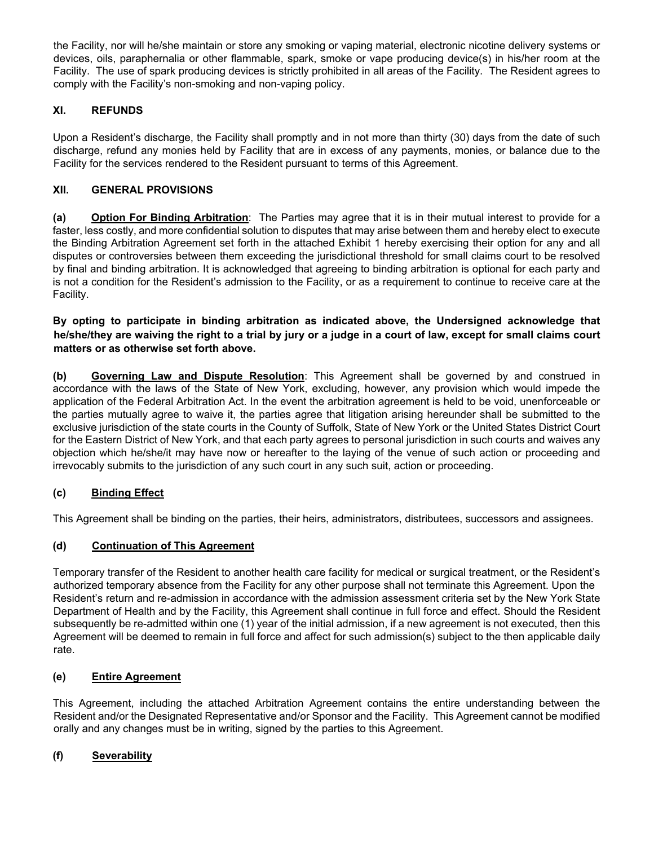the Facility, nor will he/she maintain or store any smoking or vaping material, electronic nicotine delivery systems or devices, oils, paraphernalia or other flammable, spark, smoke or vape producing device(s) in his/her room at the Facility. The use of spark producing devices is strictly prohibited in all areas of the Facility. The Resident agrees to comply with the Facility's non-smoking and non-vaping policy.

# **XI. REFUNDS**

Upon a Resident's discharge, the Facility shall promptly and in not more than thirty (30) days from the date of such discharge, refund any monies held by Facility that are in excess of any payments, monies, or balance due to the Facility for the services rendered to the Resident pursuant to terms of this Agreement.

# **XII. GENERAL PROVISIONS**

**(a) Option For Binding Arbitration**: The Parties may agree that it is in their mutual interest to provide for a faster, less costly, and more confidential solution to disputes that may arise between them and hereby elect to execute the Binding Arbitration Agreement set forth in the attached Exhibit 1 hereby exercising their option for any and all disputes or controversies between them exceeding the jurisdictional threshold for small claims court to be resolved by final and binding arbitration. It is acknowledged that agreeing to binding arbitration is optional for each party and is not a condition for the Resident's admission to the Facility, or as a requirement to continue to receive care at the Facility.

**By opting to participate in binding arbitration as indicated above, the Undersigned acknowledge that he/she/they are waiving the right to a trial by jury or a judge in a court of law, except for small claims court matters or as otherwise set forth above.**

**(b) Governing Law and Dispute Resolution**: This Agreement shall be governed by and construed in accordance with the laws of the State of New York, excluding, however, any provision which would impede the application of the Federal Arbitration Act. In the event the arbitration agreement is held to be void, unenforceable or the parties mutually agree to waive it, the parties agree that litigation arising hereunder shall be submitted to the exclusive jurisdiction of the state courts in the County of Suffolk, State of New York or the United States District Court for the Eastern District of New York, and that each party agrees to personal jurisdiction in such courts and waives any objection which he/she/it may have now or hereafter to the laying of the venue of such action or proceeding and irrevocably submits to the jurisdiction of any such court in any such suit, action or proceeding.

### **(c) Binding Effect**

This Agreement shall be binding on the parties, their heirs, administrators, distributees, successors and assignees.

### **(d) Continuation of This Agreement**

Temporary transfer of the Resident to another health care facility for medical or surgical treatment, or the Resident's authorized temporary absence from the Facility for any other purpose shall not terminate this Agreement. Upon the Resident's return and re-admission in accordance with the admission assessment criteria set by the New York State Department of Health and by the Facility, this Agreement shall continue in full force and effect. Should the Resident subsequently be re-admitted within one (1) year of the initial admission, if a new agreement is not executed, then this Agreement will be deemed to remain in full force and affect for such admission(s) subject to the then applicable daily rate.

### **(e) Entire Agreement**

This Agreement, including the attached Arbitration Agreement contains the entire understanding between the Resident and/or the Designated Representative and/or Sponsor and the Facility. This Agreement cannot be modified orally and any changes must be in writing, signed by the parties to this Agreement.

### **(f) Severability**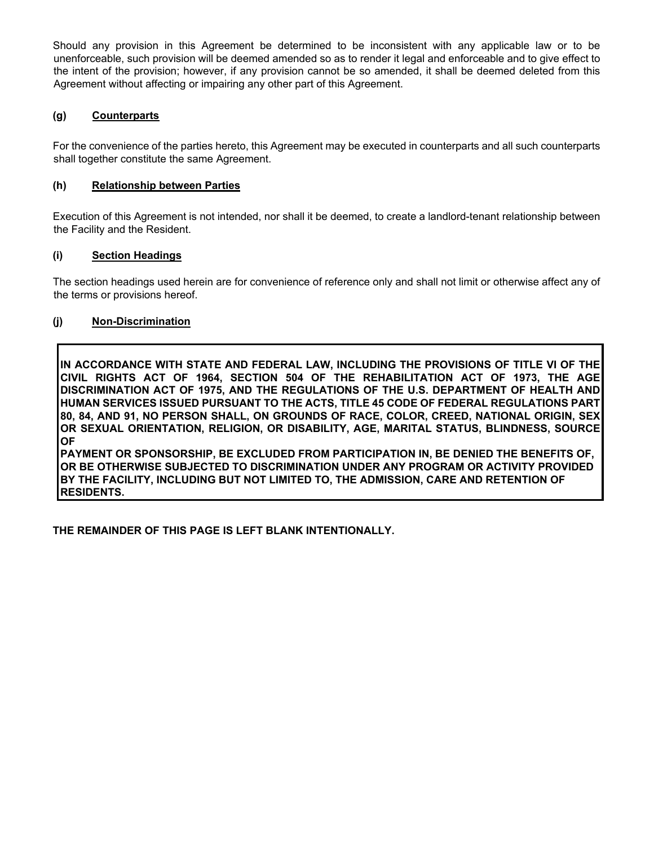Should any provision in this Agreement be determined to be inconsistent with any applicable law or to be unenforceable, such provision will be deemed amended so as to render it legal and enforceable and to give effect to the intent of the provision; however, if any provision cannot be so amended, it shall be deemed deleted from this Agreement without affecting or impairing any other part of this Agreement.

# **(g) Counterparts**

For the convenience of the parties hereto, this Agreement may be executed in counterparts and all such counterparts shall together constitute the same Agreement.

### **(h) Relationship between Parties**

Execution of this Agreement is not intended, nor shall it be deemed, to create a landlord-tenant relationship between the Facility and the Resident.

### **(i) Section Headings**

The section headings used herein are for convenience of reference only and shall not limit or otherwise affect any of the terms or provisions hereof.

#### **(j) Non-Discrimination**

**IN ACCORDANCE WITH STATE AND FEDERAL LAW, INCLUDING THE PROVISIONS OF TITLE VI OF THE CIVIL RIGHTS ACT OF 1964, SECTION 504 OF THE REHABILITATION ACT OF 1973, THE AGE DISCRIMINATION ACT OF 1975, AND THE REGULATIONS OF THE U.S. DEPARTMENT OF HEALTH AND HUMAN SERVICES ISSUED PURSUANT TO THE ACTS, TITLE 45 CODE OF FEDERAL REGULATIONS PART 80, 84, AND 91, NO PERSON SHALL, ON GROUNDS OF RACE, COLOR, CREED, NATIONAL ORIGIN, SEX OR SEXUAL ORIENTATION, RELIGION, OR DISABILITY, AGE, MARITAL STATUS, BLINDNESS, SOURCE OF** 

**PAYMENT OR SPONSORSHIP, BE EXCLUDED FROM PARTICIPATION IN, BE DENIED THE BENEFITS OF, OR BE OTHERWISE SUBJECTED TO DISCRIMINATION UNDER ANY PROGRAM OR ACTIVITY PROVIDED BY THE FACILITY, INCLUDING BUT NOT LIMITED TO, THE ADMISSION, CARE AND RETENTION OF RESIDENTS.**

**THE REMAINDER OF THIS PAGE IS LEFT BLANK INTENTIONALLY.**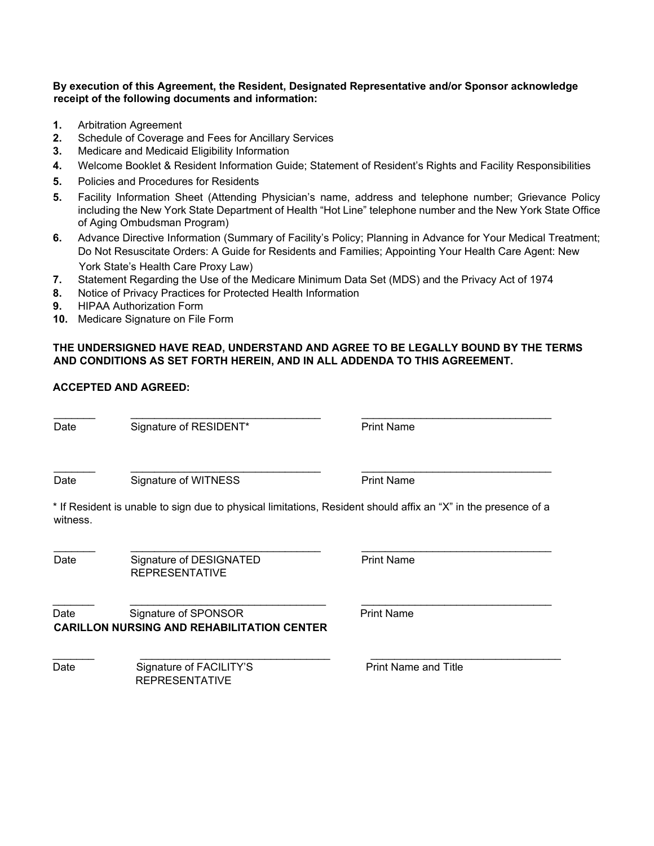#### **By execution of this Agreement, the Resident, Designated Representative and/or Sponsor acknowledge receipt of the following documents and information:**

- **1.** Arbitration Agreement
- **2.** Schedule of Coverage and Fees for Ancillary Services
- **3.** Medicare and Medicaid Eligibility Information
- **4.** Welcome Booklet & Resident Information Guide; Statement of Resident's Rights and Facility Responsibilities
- **5.** Policies and Procedures for Residents
- **5.** Facility Information Sheet (Attending Physician's name, address and telephone number; Grievance Policy including the New York State Department of Health "Hot Line" telephone number and the New York State Office of Aging Ombudsman Program)
- **6.** Advance Directive Information (Summary of Facility's Policy; Planning in Advance for Your Medical Treatment; Do Not Resuscitate Orders: A Guide for Residents and Families; Appointing Your Health Care Agent: New York State's Health Care Proxy Law)
- **7.** Statement Regarding the Use of the Medicare Minimum Data Set (MDS) and the Privacy Act of 1974
- **8.** Notice of Privacy Practices for Protected Health Information
- **9.** HIPAA Authorization Form
- **10.** Medicare Signature on File Form

#### **THE UNDERSIGNED HAVE READ, UNDERSTAND AND AGREE TO BE LEGALLY BOUND BY THE TERMS AND CONDITIONS AS SET FORTH HEREIN, AND IN ALL ADDENDA TO THIS AGREEMENT.**

### **ACCEPTED AND AGREED:**

**Date** 

Signature of RESIDENT\* Print Name

Date

Signature of WITNESS Print Name

\* If Resident is unable to sign due to physical limitations, Resident should affix an "X" in the presence of a witness.

 $\mathcal{L}_\text{max}$  , and the contribution of the contribution of the contribution of the contribution of the contribution of the contribution of the contribution of the contribution of the contribution of the contribution of t

Date Signature of DESIGNATED REPRESENTATIVE

Date Signature of SPONSOR Print Name **CARILLON NURSING AND REHABILITATION CENTER** 

Date Signature of FACILITY'S Print Name and Title REPRESENTATIVE

Print Name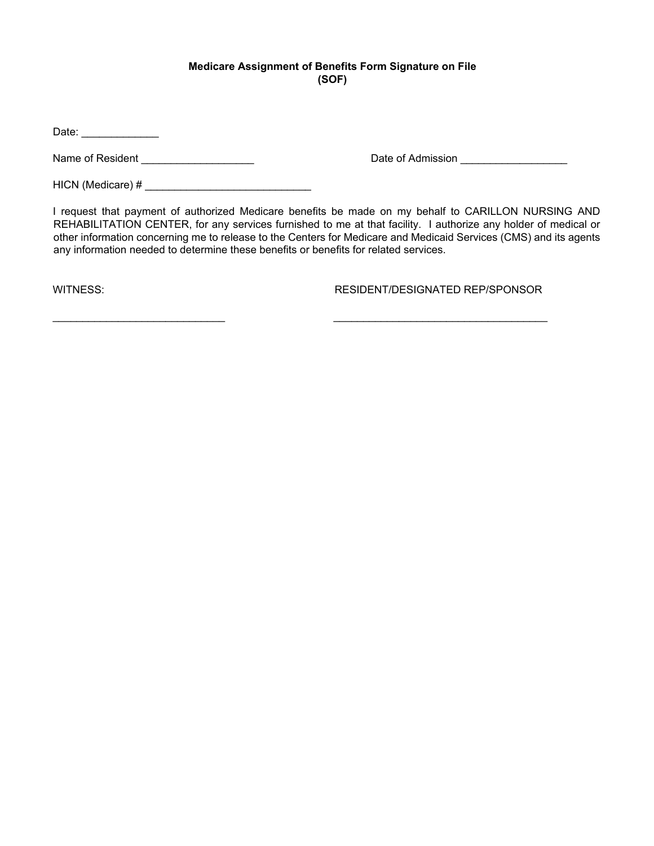### **Medicare Assignment of Benefits Form Signature on File (SOF)**

Date: \_\_\_\_\_\_\_\_\_\_\_\_\_

Name of Resident \_\_\_\_\_\_\_\_\_\_\_\_\_\_\_\_\_\_\_\_\_

Date of Admission \_\_\_\_\_\_\_\_\_\_\_\_\_\_\_\_\_\_\_\_\_\_

HICN (Medicare) # \_\_\_\_\_\_\_\_\_\_\_\_\_\_\_\_\_\_\_\_\_\_\_\_\_\_\_\_

I request that payment of authorized Medicare benefits be made on my behalf to CARILLON NURSING AND REHABILITATION CENTER, for any services furnished to me at that facility. I authorize any holder of medical or other information concerning me to release to the Centers for Medicare and Medicaid Services (CMS) and its agents any information needed to determine these benefits or benefits for related services.

WITNESS: RESIDENT/DESIGNATED REP/SPONSOR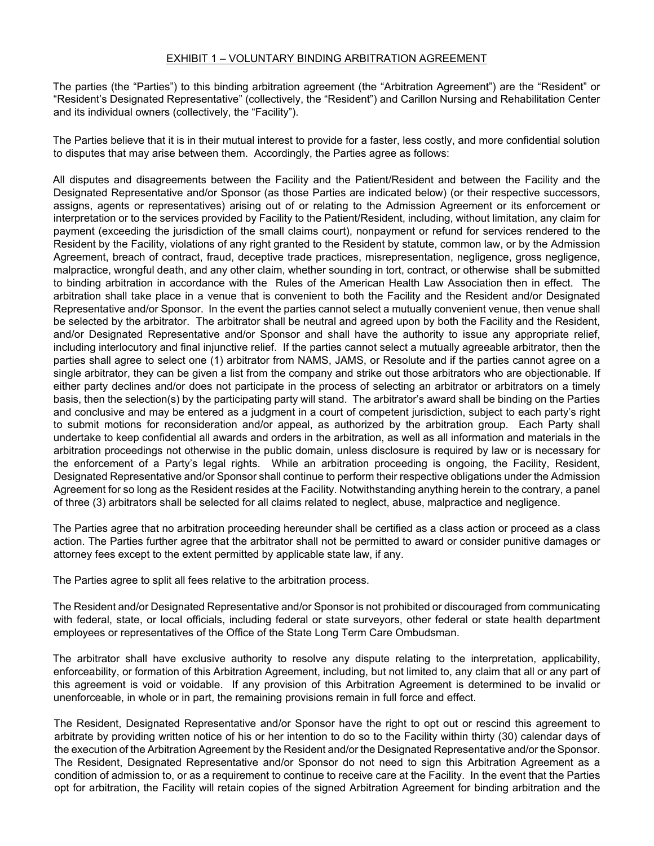#### EXHIBIT 1 – VOLUNTARY BINDING ARBITRATION AGREEMENT

The parties (the "Parties") to this binding arbitration agreement (the "Arbitration Agreement") are the "Resident" or "Resident's Designated Representative" (collectively, the "Resident") and Carillon Nursing and Rehabilitation Center and its individual owners (collectively, the "Facility").

The Parties believe that it is in their mutual interest to provide for a faster, less costly, and more confidential solution to disputes that may arise between them. Accordingly, the Parties agree as follows:

All disputes and disagreements between the Facility and the Patient/Resident and between the Facility and the Designated Representative and/or Sponsor (as those Parties are indicated below) (or their respective successors, assigns, agents or representatives) arising out of or relating to the Admission Agreement or its enforcement or interpretation or to the services provided by Facility to the Patient/Resident, including, without limitation, any claim for payment (exceeding the jurisdiction of the small claims court), nonpayment or refund for services rendered to the Resident by the Facility, violations of any right granted to the Resident by statute, common law, or by the Admission Agreement, breach of contract, fraud, deceptive trade practices, misrepresentation, negligence, gross negligence, malpractice, wrongful death, and any other claim, whether sounding in tort, contract, or otherwise shall be submitted to binding arbitration in accordance with the Rules of the American Health Law Association then in effect. The arbitration shall take place in a venue that is convenient to both the Facility and the Resident and/or Designated Representative and/or Sponsor. In the event the parties cannot select a mutually convenient venue, then venue shall be selected by the arbitrator. The arbitrator shall be neutral and agreed upon by both the Facility and the Resident, and/or Designated Representative and/or Sponsor and shall have the authority to issue any appropriate relief, including interlocutory and final injunctive relief. If the parties cannot select a mutually agreeable arbitrator, then the parties shall agree to select one (1) arbitrator from NAMS, JAMS, or Resolute and if the parties cannot agree on a single arbitrator, they can be given a list from the company and strike out those arbitrators who are objectionable. If either party declines and/or does not participate in the process of selecting an arbitrator or arbitrators on a timely basis, then the selection(s) by the participating party will stand. The arbitrator's award shall be binding on the Parties and conclusive and may be entered as a judgment in a court of competent jurisdiction, subject to each party's right to submit motions for reconsideration and/or appeal, as authorized by the arbitration group. Each Party shall undertake to keep confidential all awards and orders in the arbitration, as well as all information and materials in the arbitration proceedings not otherwise in the public domain, unless disclosure is required by law or is necessary for the enforcement of a Party's legal rights. While an arbitration proceeding is ongoing, the Facility, Resident, Designated Representative and/or Sponsor shall continue to perform their respective obligations under the Admission Agreement for so long as the Resident resides at the Facility. Notwithstanding anything herein to the contrary, a panel of three (3) arbitrators shall be selected for all claims related to neglect, abuse, malpractice and negligence.

The Parties agree that no arbitration proceeding hereunder shall be certified as a class action or proceed as a class action. The Parties further agree that the arbitrator shall not be permitted to award or consider punitive damages or attorney fees except to the extent permitted by applicable state law, if any.

The Parties agree to split all fees relative to the arbitration process.

The Resident and/or Designated Representative and/or Sponsor is not prohibited or discouraged from communicating with federal, state, or local officials, including federal or state surveyors, other federal or state health department employees or representatives of the Office of the State Long Term Care Ombudsman.

The arbitrator shall have exclusive authority to resolve any dispute relating to the interpretation, applicability, enforceability, or formation of this Arbitration Agreement, including, but not limited to, any claim that all or any part of this agreement is void or voidable. If any provision of this Arbitration Agreement is determined to be invalid or unenforceable, in whole or in part, the remaining provisions remain in full force and effect.

The Resident, Designated Representative and/or Sponsor have the right to opt out or rescind this agreement to arbitrate by providing written notice of his or her intention to do so to the Facility within thirty (30) calendar days of the execution of the Arbitration Agreement by the Resident and/or the Designated Representative and/or the Sponsor. The Resident, Designated Representative and/or Sponsor do not need to sign this Arbitration Agreement as a condition of admission to, or as a requirement to continue to receive care at the Facility. In the event that the Parties opt for arbitration, the Facility will retain copies of the signed Arbitration Agreement for binding arbitration and the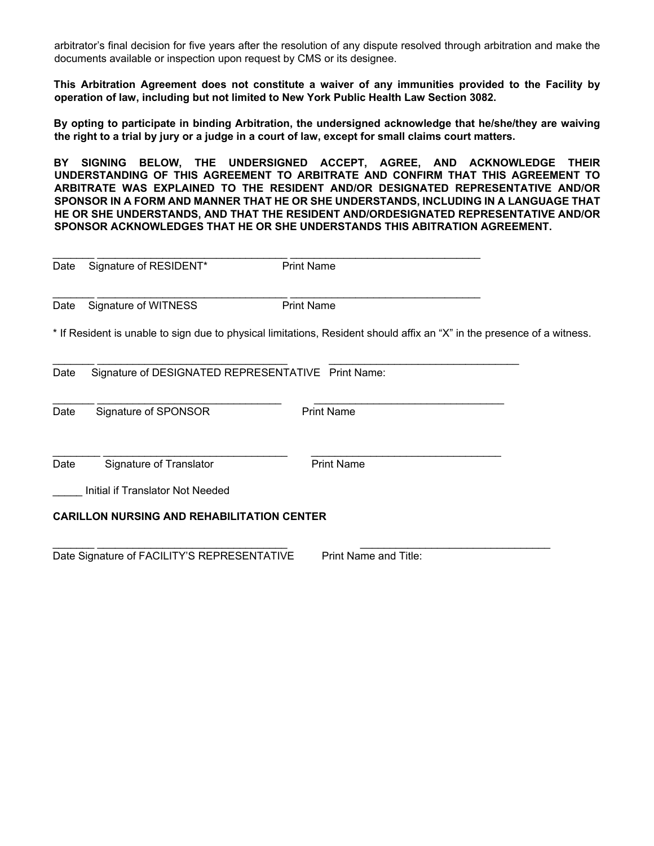arbitrator's final decision for five years after the resolution of any dispute resolved through arbitration and make the documents available or inspection upon request by CMS or its designee.

**This Arbitration Agreement does not constitute a waiver of any immunities provided to the Facility by operation of law, including but not limited to New York Public Health Law Section 3082.** 

**By opting to participate in binding Arbitration, the undersigned acknowledge that he/she/they are waiving the right to a trial by jury or a judge in a court of law, except for small claims court matters.**

**BY SIGNING BELOW, THE UNDERSIGNED ACCEPT, AGREE, AND ACKNOWLEDGE THEIR UNDERSTANDING OF THIS AGREEMENT TO ARBITRATE AND CONFIRM THAT THIS AGREEMENT TO ARBITRATE WAS EXPLAINED TO THE RESIDENT AND/OR DESIGNATED REPRESENTATIVE AND/OR SPONSOR IN A FORM AND MANNER THAT HE OR SHE UNDERSTANDS, INCLUDING IN A LANGUAGE THAT HE OR SHE UNDERSTANDS, AND THAT THE RESIDENT AND/ORDESIGNATED REPRESENTATIVE AND/OR SPONSOR ACKNOWLEDGES THAT HE OR SHE UNDERSTANDS THIS ABITRATION AGREEMENT.** 

| Date | Signature of RESIDENT*                             | <b>Print Name</b>                                                                                                       |
|------|----------------------------------------------------|-------------------------------------------------------------------------------------------------------------------------|
| Date | Signature of WITNESS                               | <b>Print Name</b>                                                                                                       |
|      |                                                    | * If Resident is unable to sign due to physical limitations, Resident should affix an "X" in the presence of a witness. |
| Date | Signature of DESIGNATED REPRESENTATIVE Print Name: |                                                                                                                         |
| Date | Signature of SPONSOR                               | <b>Print Name</b>                                                                                                       |
| Date | Signature of Translator                            | <b>Print Name</b>                                                                                                       |
|      | Initial if Translator Not Needed                   |                                                                                                                         |
|      | <b>CARILLON NURSING AND REHABILITATION CENTER</b>  |                                                                                                                         |
|      |                                                    |                                                                                                                         |

Date Signature of FACILITY'S REPRESENTATIVE Print Name and Title: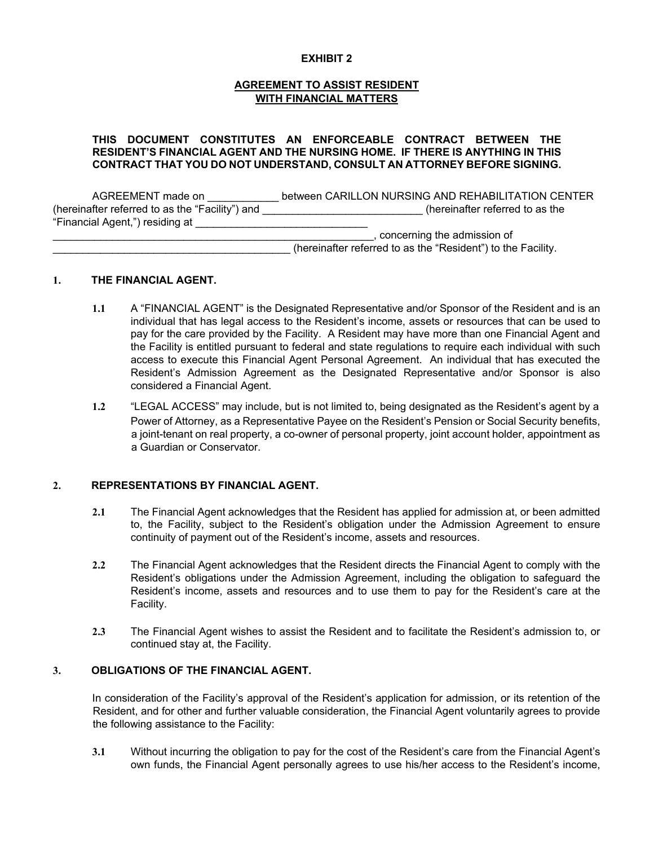#### **EXHIBIT 2**

#### **AGREEMENT TO ASSIST RESIDENT WITH FINANCIAL MATTERS**

#### **THIS DOCUMENT CONSTITUTES AN ENFORCEABLE CONTRACT BETWEEN THE RESIDENT'S FINANCIAL AGENT AND THE NURSING HOME. IF THERE IS ANYTHING IN THIS CONTRACT THAT YOU DO NOT UNDERSTAND, CONSULT AN ATTORNEY BEFORE SIGNING.**

AGREEMENT made on  $\qquad \qquad$  between CARILLON NURSING AND REHABILITATION CENTER (hereinafter referred to as the "Facility") and \_\_\_\_\_\_\_\_\_\_\_\_\_\_\_\_\_\_\_\_\_\_\_\_\_\_\_ (hereinafter referred to as the "Financial Agent,") residing at \_\_\_\_\_\_\_\_\_\_\_\_\_\_\_\_\_\_\_\_\_\_\_\_\_\_\_\_\_ \_\_\_\_\_\_\_\_\_\_\_\_\_\_\_\_\_\_\_\_\_\_\_\_\_\_\_\_\_\_\_\_\_\_\_\_\_\_\_\_\_\_\_\_\_\_\_\_\_\_\_\_\_\_, concerning the admission of (hereinafter referred to as the "Resident") to the Facility.

#### **1. THE FINANCIAL AGENT.**

- **1.1** A "FINANCIAL AGENT" is the Designated Representative and/or Sponsor of the Resident and is an individual that has legal access to the Resident's income, assets or resources that can be used to pay for the care provided by the Facility. A Resident may have more than one Financial Agent and the Facility is entitled pursuant to federal and state regulations to require each individual with such access to execute this Financial Agent Personal Agreement. An individual that has executed the Resident's Admission Agreement as the Designated Representative and/or Sponsor is also considered a Financial Agent.
- **1.2** "LEGAL ACCESS" may include, but is not limited to, being designated as the Resident's agent by a Power of Attorney, as a Representative Payee on the Resident's Pension or Social Security benefits, a joint-tenant on real property, a co-owner of personal property, joint account holder, appointment as a Guardian or Conservator.

#### **2. REPRESENTATIONS BY FINANCIAL AGENT.**

- **2.1** The Financial Agent acknowledges that the Resident has applied for admission at, or been admitted to, the Facility, subject to the Resident's obligation under the Admission Agreement to ensure continuity of payment out of the Resident's income, assets and resources.
- **2.2** The Financial Agent acknowledges that the Resident directs the Financial Agent to comply with the Resident's obligations under the Admission Agreement, including the obligation to safeguard the Resident's income, assets and resources and to use them to pay for the Resident's care at the Facility.
- **2.3** The Financial Agent wishes to assist the Resident and to facilitate the Resident's admission to, or continued stay at, the Facility.

#### **3. OBLIGATIONS OF THE FINANCIAL AGENT.**

In consideration of the Facility's approval of the Resident's application for admission, or its retention of the Resident, and for other and further valuable consideration, the Financial Agent voluntarily agrees to provide the following assistance to the Facility:

**3.1** Without incurring the obligation to pay for the cost of the Resident's care from the Financial Agent's own funds, the Financial Agent personally agrees to use his/her access to the Resident's income,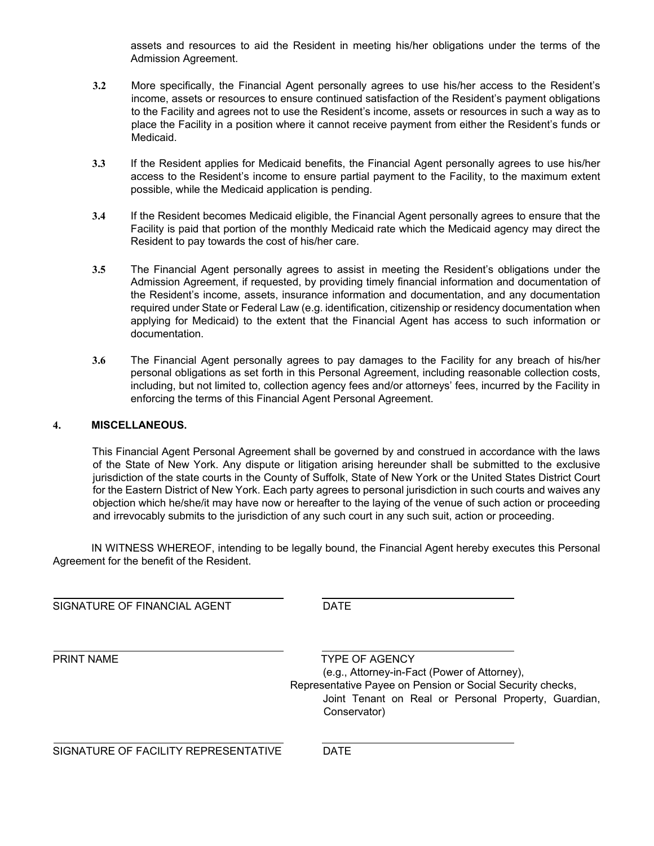assets and resources to aid the Resident in meeting his/her obligations under the terms of the Admission Agreement.

- **3.2** More specifically, the Financial Agent personally agrees to use his/her access to the Resident's income, assets or resources to ensure continued satisfaction of the Resident's payment obligations to the Facility and agrees not to use the Resident's income, assets or resources in such a way as to place the Facility in a position where it cannot receive payment from either the Resident's funds or Medicaid.
- **3.3** If the Resident applies for Medicaid benefits, the Financial Agent personally agrees to use his/her access to the Resident's income to ensure partial payment to the Facility, to the maximum extent possible, while the Medicaid application is pending.
- **3.4** If the Resident becomes Medicaid eligible, the Financial Agent personally agrees to ensure that the Facility is paid that portion of the monthly Medicaid rate which the Medicaid agency may direct the Resident to pay towards the cost of his/her care.
- **3.5** The Financial Agent personally agrees to assist in meeting the Resident's obligations under the Admission Agreement, if requested, by providing timely financial information and documentation of the Resident's income, assets, insurance information and documentation, and any documentation required under State or Federal Law (e.g. identification, citizenship or residency documentation when applying for Medicaid) to the extent that the Financial Agent has access to such information or documentation.
- **3.6** The Financial Agent personally agrees to pay damages to the Facility for any breach of his/her personal obligations as set forth in this Personal Agreement, including reasonable collection costs, including, but not limited to, collection agency fees and/or attorneys' fees, incurred by the Facility in enforcing the terms of this Financial Agent Personal Agreement.

#### **4. MISCELLANEOUS.**

This Financial Agent Personal Agreement shall be governed by and construed in accordance with the laws of the State of New York. Any dispute or litigation arising hereunder shall be submitted to the exclusive jurisdiction of the state courts in the County of Suffolk, State of New York or the United States District Court for the Eastern District of New York. Each party agrees to personal jurisdiction in such courts and waives any objection which he/she/it may have now or hereafter to the laying of the venue of such action or proceeding and irrevocably submits to the jurisdiction of any such court in any such suit, action or proceeding.

IN WITNESS WHEREOF, intending to be legally bound, the Financial Agent hereby executes this Personal Agreement for the benefit of the Resident.

| SIGNATURE OF FINANCIAL AGENT         | <b>DATE</b>                                                                                                                                                                                                 |
|--------------------------------------|-------------------------------------------------------------------------------------------------------------------------------------------------------------------------------------------------------------|
| PRINT NAME                           | <b>TYPE OF AGENCY</b><br>(e.g., Attorney-in-Fact (Power of Attorney),<br>Representative Payee on Pension or Social Security checks,<br>Joint Tenant on Real or Personal Property, Guardian,<br>Conservator) |
| SIGNATURE OF FACILITY REPRESENTATIVE | <b>DATE</b>                                                                                                                                                                                                 |